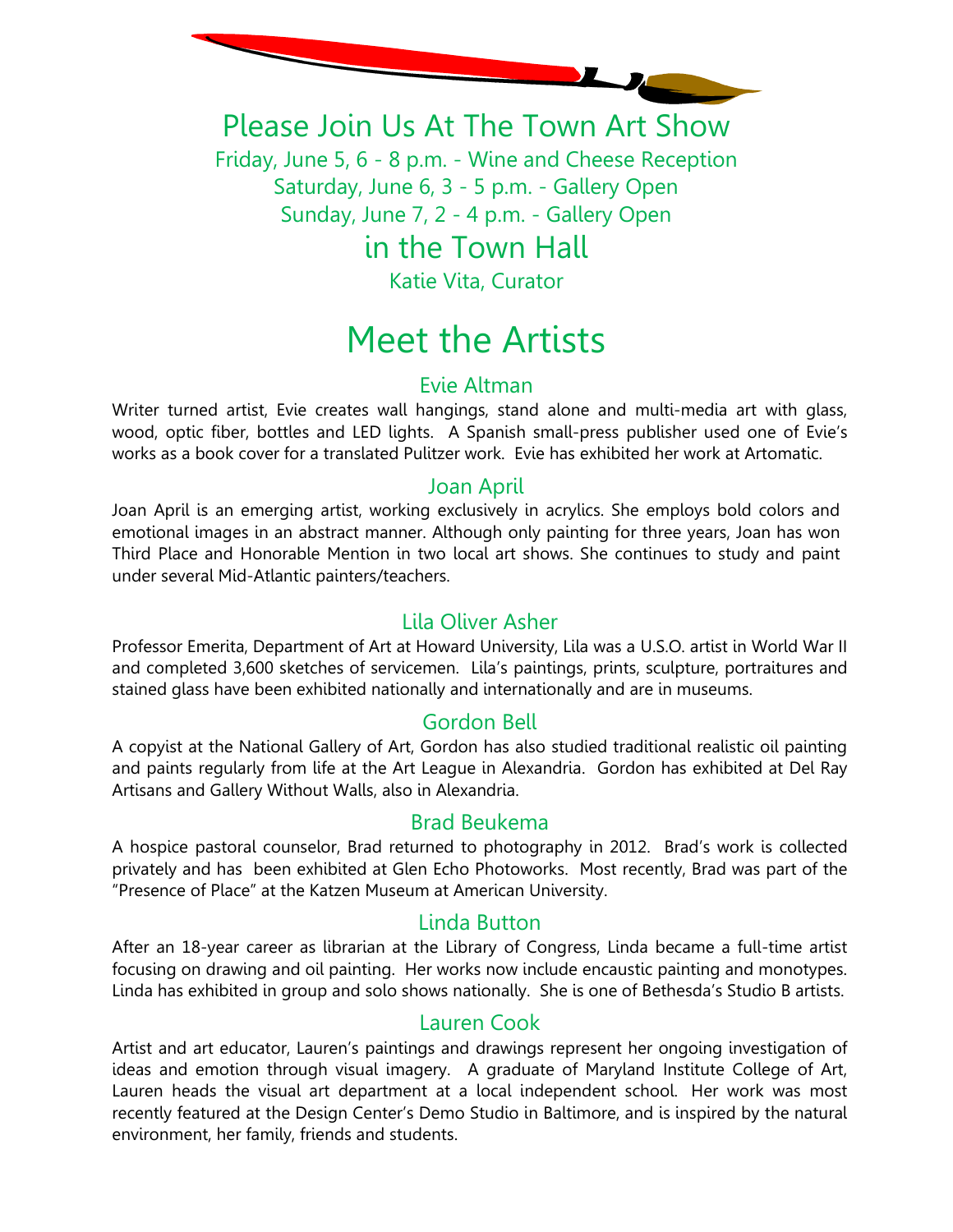

Please Join Us At The Town Art Show

Friday, June 5, 6 - 8 p.m. - Wine and Cheese Reception Saturday, June 6, 3 - 5 p.m. - Gallery Open Sunday, June 7, 2 - 4 p.m. - Gallery Open

# in the Town Hall

Katie Vita, Curator

# Meet the Artists

# Evie Altman

Writer turned artist, Evie creates wall hangings, stand alone and multi-media art with glass, wood, optic fiber, bottles and LED lights. A Spanish small-press publisher used one of Evie's works as a book cover for a translated Pulitzer work. Evie has exhibited her work at Artomatic.

# Joan April

Joan April is an emerging artist, working exclusively in acrylics. She employs bold colors and emotional images in an abstract manner. Although only painting for three years, Joan has won Third Place and Honorable Mention in two local art shows. She continues to study and paint under several Mid-Atlantic painters/teachers.

# Lila Oliver Asher

Professor Emerita, Department of Art at Howard University, Lila was a U.S.O. artist in World War II and completed 3,600 sketches of servicemen. Lila's paintings, prints, sculpture, portraitures and stained glass have been exhibited nationally and internationally and are in museums.

# Gordon Bell

A copyist at the National Gallery of Art, Gordon has also studied traditional realistic oil painting and paints regularly from life at the Art League in Alexandria. Gordon has exhibited at Del Ray Artisans and Gallery Without Walls, also in Alexandria.

#### Brad Beukema

A hospice pastoral counselor, Brad returned to photography in 2012. Brad's work is collected privately and has been exhibited at Glen Echo Photoworks. Most recently, Brad was part of the "Presence of Place" at the Katzen Museum at American University.

#### Linda Button

After an 18-year career as librarian at the Library of Congress, Linda became a full-time artist focusing on drawing and oil painting. Her works now include encaustic painting and monotypes. Linda has exhibited in group and solo shows nationally. She is one of Bethesda's Studio B artists.

#### Lauren Cook

Artist and art educator, Lauren's paintings and drawings represent her ongoing investigation of ideas and emotion through visual imagery. A graduate of Maryland Institute College of Art, Lauren heads the visual art department at a local independent school. Her work was most recently featured at the Design Center's Demo Studio in Baltimore, and is inspired by the natural environment, her family, friends and students.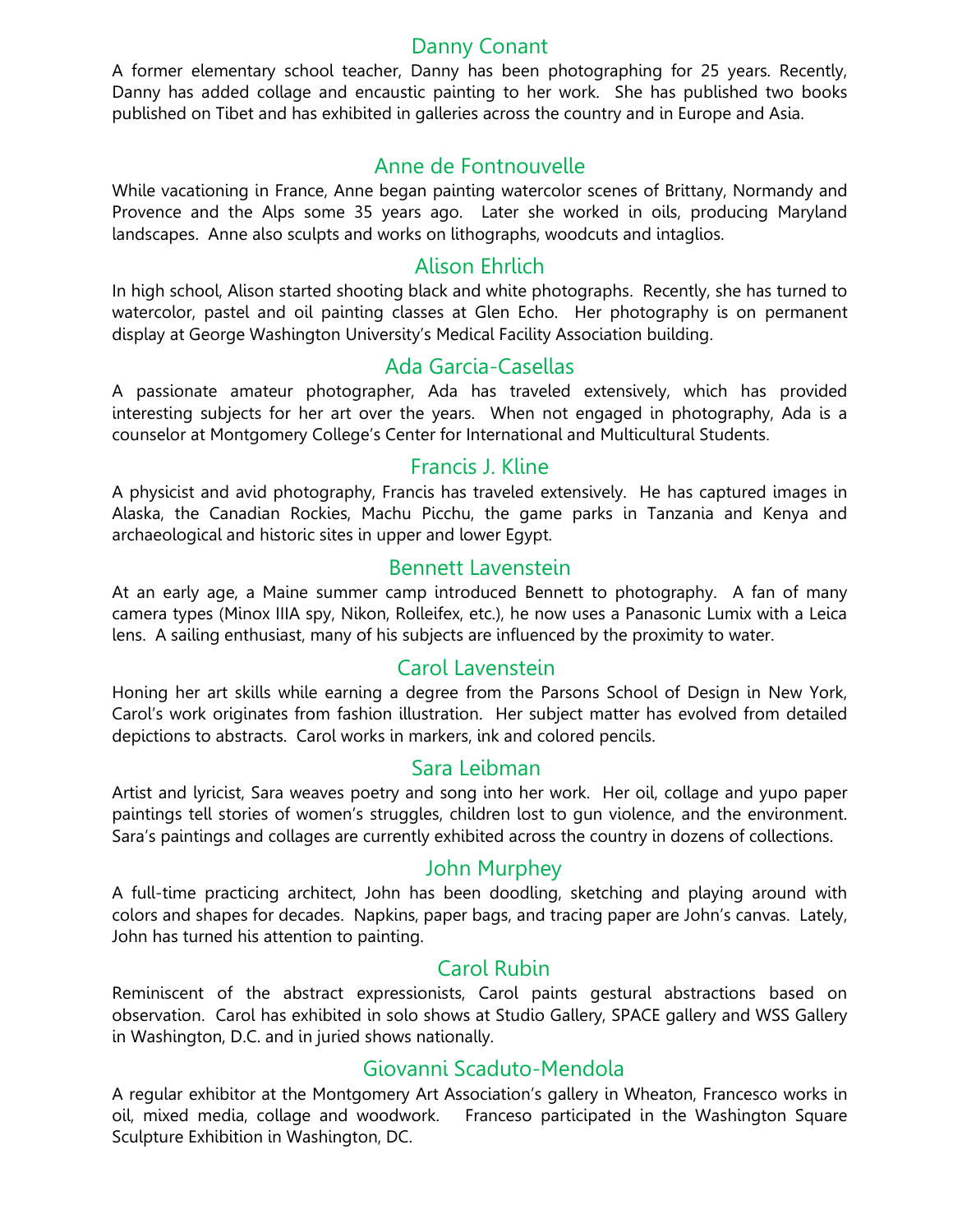#### Danny Conant

A former elementary school teacher, Danny has been photographing for 25 years. Recently, Danny has added collage and encaustic painting to her work. She has published two books published on Tibet and has exhibited in galleries across the country and in Europe and Asia.

#### Anne de Fontnouvelle

While vacationing in France, Anne began painting watercolor scenes of Brittany, Normandy and Provence and the Alps some 35 years ago. Later she worked in oils, producing Maryland landscapes. Anne also sculpts and works on lithographs, woodcuts and intaglios.

#### Alison Ehrlich

In high school, Alison started shooting black and white photographs. Recently, she has turned to watercolor, pastel and oil painting classes at Glen Echo. Her photography is on permanent display at George Washington University's Medical Facility Association building.

#### Ada Garcia-Casellas

A passionate amateur photographer, Ada has traveled extensively, which has provided interesting subjects for her art over the years. When not engaged in photography, Ada is a counselor at Montgomery College's Center for International and Multicultural Students.

#### Francis J. Kline

A physicist and avid photography, Francis has traveled extensively. He has captured images in Alaska, the Canadian Rockies, Machu Picchu, the game parks in Tanzania and Kenya and archaeological and historic sites in upper and lower Egypt.

#### Bennett Lavenstein

At an early age, a Maine summer camp introduced Bennett to photography. A fan of many camera types (Minox IIIA spy, Nikon, Rolleifex, etc.), he now uses a Panasonic Lumix with a Leica lens. A sailing enthusiast, many of his subjects are influenced by the proximity to water.

#### Carol Lavenstein

Honing her art skills while earning a degree from the Parsons School of Design in New York, Carol's work originates from fashion illustration. Her subject matter has evolved from detailed depictions to abstracts. Carol works in markers, ink and colored pencils.

#### Sara Leibman

Artist and lyricist, Sara weaves poetry and song into her work. Her oil, collage and yupo paper paintings tell stories of women's struggles, children lost to gun violence, and the environment. Sara's paintings and collages are currently exhibited across the country in dozens of collections.

#### John Murphey

A full-time practicing architect, John has been doodling, sketching and playing around with colors and shapes for decades. Napkins, paper bags, and tracing paper are John's canvas. Lately, John has turned his attention to painting.

#### Carol Rubin

Reminiscent of the abstract expressionists, Carol paints gestural abstractions based on observation. Carol has exhibited in solo shows at Studio Gallery, SPACE gallery and WSS Gallery in Washington, D.C. and in juried shows nationally.

#### Giovanni Scaduto-Mendola

A regular exhibitor at the Montgomery Art Association's gallery in Wheaton, Francesco works in oil, mixed media, collage and woodwork. Franceso participated in the Washington Square Sculpture Exhibition in Washington, DC.